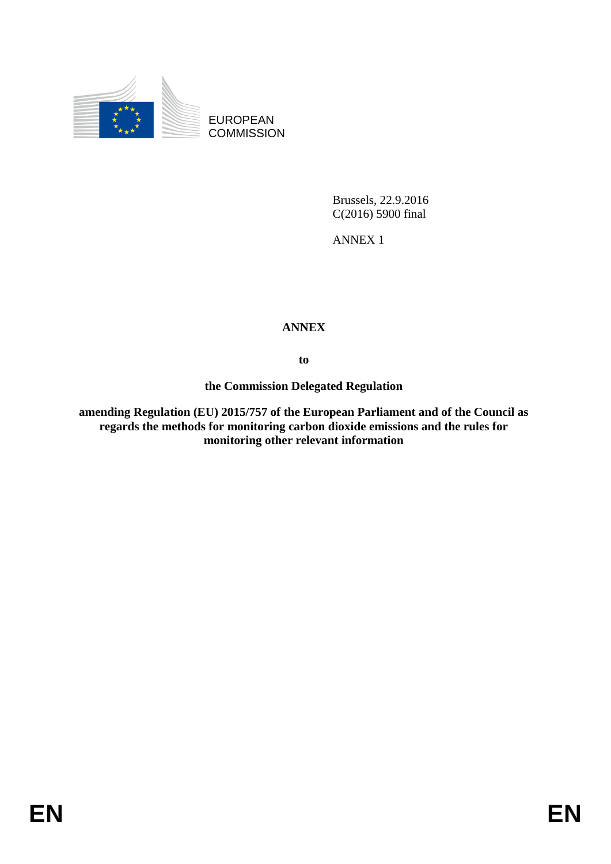

EUROPEAN **COMMISSION** 

> Brussels, 22.9.2016 C(2016) 5900 final

ANNEX 1

## **ANNEX**

**to**

**the Commission Delegated Regulation**

**amending Regulation (EU) 2015/757 of the European Parliament and of the Council as regards the methods for monitoring carbon dioxide emissions and the rules for monitoring other relevant information**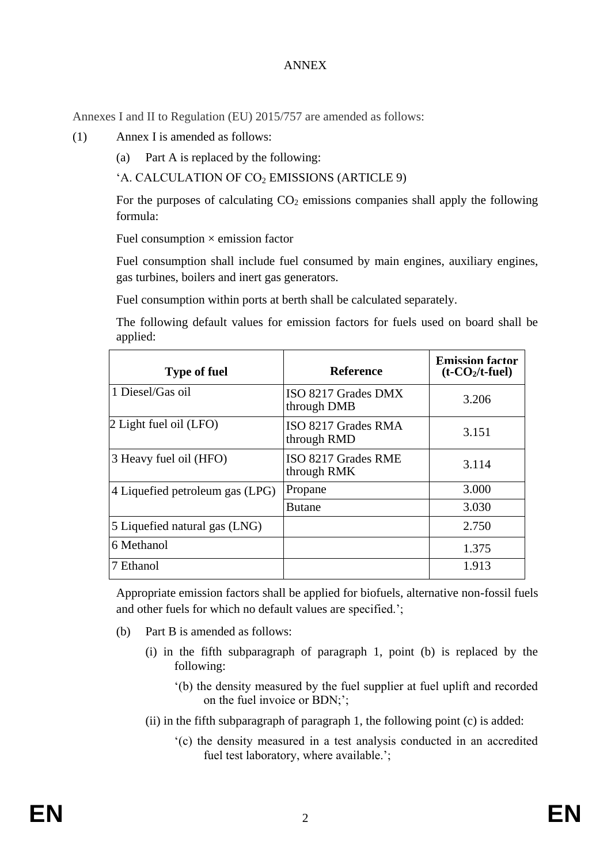## ANNEX

Annexes I and II to Regulation (EU) 2015/757 are amended as follows:

- (1) Annex I is amended as follows:
	- (a) Part A is replaced by the following:

```
'A. CALCULATION OF CO<sub>2</sub> EMISSIONS (ARTICLE 9)
```
For the purposes of calculating  $CO<sub>2</sub>$  emissions companies shall apply the following formula:

Fuel consumption  $\times$  emission factor

Fuel consumption shall include fuel consumed by main engines, auxiliary engines, gas turbines, boilers and inert gas generators.

Fuel consumption within ports at berth shall be calculated separately.

The following default values for emission factors for fuels used on board shall be applied:

| <b>Type of fuel</b>             | <b>Reference</b>                   | <b>Emission factor</b><br>$(t-CO2/t$ -fuel) |
|---------------------------------|------------------------------------|---------------------------------------------|
| 1 Diesel/Gas oil                | ISO 8217 Grades DMX<br>through DMB | 3.206                                       |
| 2 Light fuel oil (LFO)          | ISO 8217 Grades RMA<br>through RMD | 3.151                                       |
| 3 Heavy fuel oil (HFO)          | ISO 8217 Grades RME<br>through RMK | 3.114                                       |
| 4 Liquefied petroleum gas (LPG) | Propane                            | 3.000                                       |
|                                 | <b>Butane</b>                      | 3.030                                       |
| 5 Liquefied natural gas (LNG)   |                                    | 2.750                                       |
| 6 Methanol                      |                                    | 1.375                                       |
| 7 Ethanol                       |                                    | 1.913                                       |

Appropriate emission factors shall be applied for biofuels, alternative non-fossil fuels and other fuels for which no default values are specified.';

- (b) Part B is amended as follows:
	- (i) in the fifth subparagraph of paragraph 1, point (b) is replaced by the following:
		- '(b) the density measured by the fuel supplier at fuel uplift and recorded on the fuel invoice or BDN;';

(ii) in the fifth subparagraph of paragraph 1, the following point (c) is added:

'(c) the density measured in a test analysis conducted in an accredited fuel test laboratory, where available.';